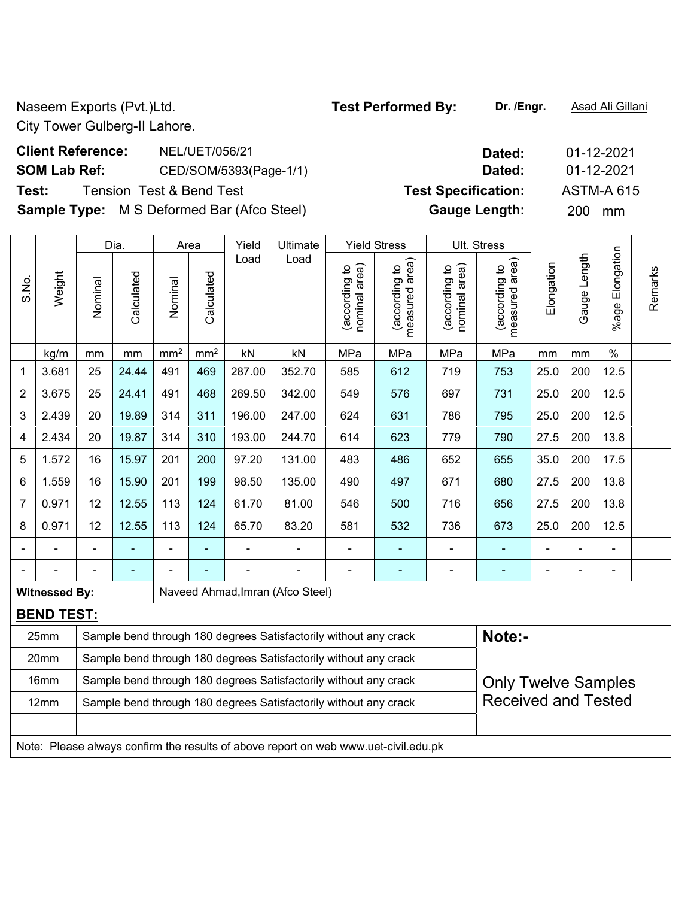Naseem Exports (Pvt.)Ltd. **Test Performed By:** Dr. /Engr. **Asad Ali Gillani** Associated By: Dr. /Engr. **Asad Ali Gillani** 

City Tower Gulberg-II Lahore.

| <b>Client Reference:</b> | NEL/UET/056/21                                    | Dated:                     | 01-12-2021        |
|--------------------------|---------------------------------------------------|----------------------------|-------------------|
| <b>SOM Lab Ref:</b>      | CED/SOM/5393(Page-1/1)                            | Dated:                     | 01-12-2021        |
| Test:                    | <b>Tension Test &amp; Bend Test</b>               | <b>Test Specification:</b> | <b>ASTM-A 615</b> |
|                          | <b>Sample Type:</b> M S Deformed Bar (Afco Steel) | <b>Gauge Length:</b>       | 200 mm            |

|                |                      |                                                                                                | Dia.       |                 | Area            | Yield  | Ultimate                                                                            |                                | <b>Yield Stress</b>             |                                | Ult. Stress                     |                |                |                 |         |
|----------------|----------------------|------------------------------------------------------------------------------------------------|------------|-----------------|-----------------|--------|-------------------------------------------------------------------------------------|--------------------------------|---------------------------------|--------------------------------|---------------------------------|----------------|----------------|-----------------|---------|
| S.No.          | Weight               | Nominal                                                                                        | Calculated | Nominal         | Calculated      | Load   | Load                                                                                | nominal area)<br>(according to | (according to<br>measured area) | nominal area)<br>(according to | measured area)<br>(according to | Elongation     | Gauge Length   | %age Elongation | Remarks |
|                | kg/m                 | mm                                                                                             | mm         | mm <sup>2</sup> | mm <sup>2</sup> | kN     | kN                                                                                  | MPa                            | MPa                             | MPa                            | MPa                             | mm             | mm             | $\%$            |         |
| 1              | 3.681                | 25                                                                                             | 24.44      | 491             | 469             | 287.00 | 352.70                                                                              | 585                            | 612                             | 719                            | 753                             | 25.0           | 200            | 12.5            |         |
| $\overline{2}$ | 3.675                | 25                                                                                             | 24.41      | 491             | 468             | 269.50 | 342.00                                                                              | 549                            | 576                             | 697                            | 731                             | 25.0           | 200            | 12.5            |         |
| 3              | 2.439                | 20                                                                                             | 19.89      | 314             | 311             | 196.00 | 247.00                                                                              | 624                            | 631                             | 786                            | 795                             | 25.0           | 200            | 12.5            |         |
| 4              | 2.434                | 20                                                                                             | 19.87      | 314             | 310             | 193.00 | 244.70                                                                              | 614                            | 623                             | 779                            | 790                             | 27.5           | 200            | 13.8            |         |
| 5              | 1.572                | 16                                                                                             | 15.97      | 201             | 200             | 97.20  | 131.00                                                                              | 483                            | 486                             | 652                            | 655                             | 35.0           | 200            | 17.5            |         |
| 6              | 1.559                | 16                                                                                             | 15.90      | 201             | 199             | 98.50  | 135.00                                                                              | 490                            | 497                             | 671                            | 680                             | 27.5           | 200            | 13.8            |         |
| 7              | 0.971                | 12                                                                                             | 12.55      | 113             | 124             | 61.70  | 81.00                                                                               | 546                            | 500                             | 716                            | 656                             | 27.5           | 200            | 13.8            |         |
| 8              | 0.971                | 12                                                                                             | 12.55      | 113             | 124             | 65.70  | 83.20                                                                               | 581                            | 532                             | 736                            | 673                             | 25.0           | 200            | 12.5            |         |
|                |                      |                                                                                                |            |                 |                 | ÷      |                                                                                     | $\blacksquare$                 | ۰                               | ÷                              |                                 |                |                | $\blacksquare$  |         |
|                |                      |                                                                                                |            |                 |                 | ä,     |                                                                                     | $\blacksquare$                 | ٠                               | $\blacksquare$                 | $\blacksquare$                  | $\blacksquare$ | $\blacksquare$ | $\blacksquare$  |         |
|                | <b>Witnessed By:</b> |                                                                                                |            |                 |                 |        | Naveed Ahmad, Imran (Afco Steel)                                                    |                                |                                 |                                |                                 |                |                |                 |         |
|                | <b>BEND TEST:</b>    |                                                                                                |            |                 |                 |        |                                                                                     |                                |                                 |                                |                                 |                |                |                 |         |
|                | 25mm                 |                                                                                                |            |                 |                 |        | Sample bend through 180 degrees Satisfactorily without any crack                    |                                |                                 |                                | Note:-                          |                |                |                 |         |
|                | 20mm                 |                                                                                                |            |                 |                 |        | Sample bend through 180 degrees Satisfactorily without any crack                    |                                |                                 |                                |                                 |                |                |                 |         |
|                | 16mm                 | Sample bend through 180 degrees Satisfactorily without any crack<br><b>Only Twelve Samples</b> |            |                 |                 |        |                                                                                     |                                |                                 |                                |                                 |                |                |                 |         |
|                | 12mm                 |                                                                                                |            |                 |                 |        | Sample bend through 180 degrees Satisfactorily without any crack                    |                                |                                 |                                | <b>Received and Tested</b>      |                |                |                 |         |
|                |                      |                                                                                                |            |                 |                 |        |                                                                                     |                                |                                 |                                |                                 |                |                |                 |         |
|                |                      |                                                                                                |            |                 |                 |        | Note: Please always confirm the results of above report on web www.uet-civil.edu.pk |                                |                                 |                                |                                 |                |                |                 |         |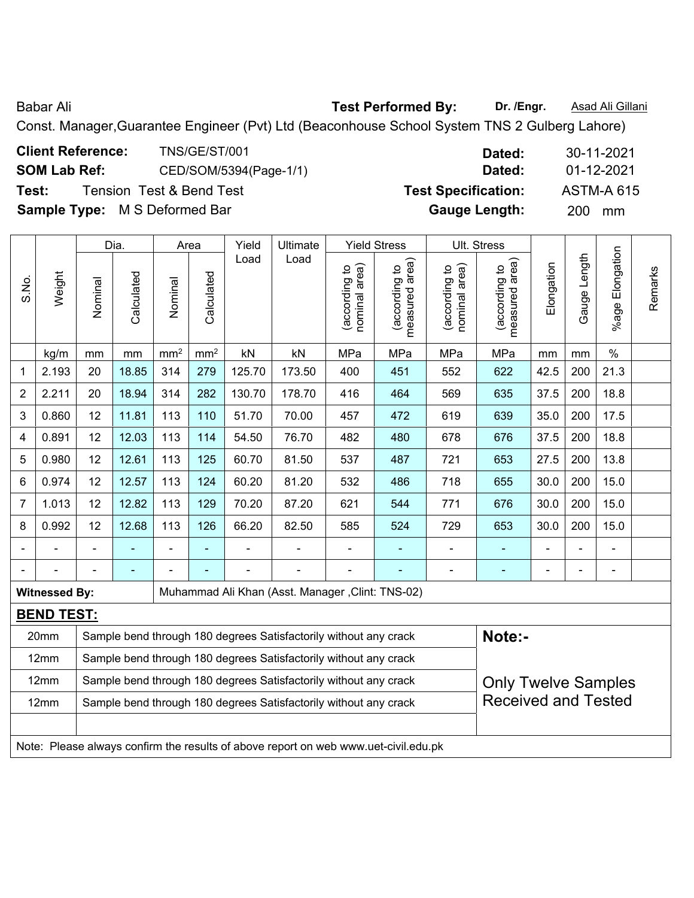Babar Ali **Babar Ali Rest Performed By:** Dr. /Engr. **Asad Ali Gillani** 

Const. Manager,Guarantee Engineer (Pvt) Ltd (Beaconhouse School System TNS 2 Gulberg Lahore)

| <b>Client Reference:</b>             | TNS/GE/ST/001            | Dated:                     | 30-11-2021        |
|--------------------------------------|--------------------------|----------------------------|-------------------|
| <b>SOM Lab Ref:</b>                  | CED/SOM/5394(Page-1/1)   | Dated:                     | 01-12-2021        |
| Test:                                | Tension Test & Bend Test | <b>Test Specification:</b> | <b>ASTM-A 615</b> |
| <b>Sample Type:</b> M S Deformed Bar |                          | <b>Gauge Length:</b>       | 200<br>mm         |

|                |                      | <b>Yield Stress</b><br>Ult. Stress<br>Dia.<br>Yield<br>Ultimate<br>Area |            |               |                 |        |                                                                                     |                                |                                 |                                |                                 |            |              |                 |         |
|----------------|----------------------|-------------------------------------------------------------------------|------------|---------------|-----------------|--------|-------------------------------------------------------------------------------------|--------------------------------|---------------------------------|--------------------------------|---------------------------------|------------|--------------|-----------------|---------|
| S.No.          | Weight               | Nominal                                                                 | Calculated | Nominal       | Calculated      | Load   | Load                                                                                | nominal area)<br>(according to | (according to<br>measured area) | nominal area)<br>(according to | measured area)<br>(according to | Elongation | Gauge Length | %age Elongation | Remarks |
|                | kg/m                 | mm                                                                      | mm         | $\text{mm}^2$ | mm <sup>2</sup> | kN     | kN                                                                                  | MPa                            | MPa                             | MPa                            | MPa                             | mm         | mm           | $\frac{0}{0}$   |         |
| 1              | 2.193                | 20                                                                      | 18.85      | 314           | 279             | 125.70 | 173.50                                                                              | 400                            | 451                             | 552                            | 622                             | 42.5       | 200          | 21.3            |         |
| $\overline{2}$ | 2.211                | 20                                                                      | 18.94      | 314           | 282             | 130.70 | 178.70                                                                              | 416                            | 464                             | 569                            | 635                             | 37.5       | 200          | 18.8            |         |
| 3              | 0.860                | 12                                                                      | 11.81      | 113           | 110             | 51.70  | 70.00                                                                               | 457                            | 472                             | 619                            | 639                             | 35.0       | 200          | 17.5            |         |
| 4              | 0.891                | 12                                                                      | 12.03      | 113           | 114             | 54.50  | 76.70                                                                               | 482                            | 480                             | 678                            | 676                             | 37.5       | 200          | 18.8            |         |
| 5              | 0.980                | 12                                                                      | 12.61      | 113           | 125             | 60.70  | 81.50                                                                               | 537                            | 487                             | 721                            | 653                             | 27.5       | 200          | 13.8            |         |
| 6              | 0.974                | 12                                                                      | 12.57      | 113           | 124             | 60.20  | 81.20                                                                               | 532                            | 486                             | 718                            | 655                             | 30.0       | 200          | 15.0            |         |
| $\overline{7}$ | 1.013                | 12                                                                      | 12.82      | 113           | 129             | 70.20  | 87.20                                                                               | 621                            | 544                             | 771                            | 676                             | 30.0       | 200          | 15.0            |         |
| 8              | 0.992                | 12                                                                      | 12.68      | 113           | 126             | 66.20  | 82.50                                                                               | 585                            | 524                             | 729                            | 653                             | 30.0       | 200          | 15.0            |         |
|                |                      |                                                                         |            | ÷             | ÷               |        |                                                                                     | $\blacksquare$                 | ÷,                              | ÷,                             |                                 |            |              |                 |         |
|                |                      |                                                                         |            |               |                 |        |                                                                                     |                                |                                 |                                |                                 |            |              | $\blacksquare$  |         |
|                | <b>Witnessed By:</b> |                                                                         |            |               |                 |        | Muhammad Ali Khan (Asst. Manager, Clint: TNS-02)                                    |                                |                                 |                                |                                 |            |              |                 |         |
|                | <b>BEND TEST:</b>    |                                                                         |            |               |                 |        |                                                                                     |                                |                                 |                                |                                 |            |              |                 |         |
|                | 20mm                 |                                                                         |            |               |                 |        | Sample bend through 180 degrees Satisfactorily without any crack                    |                                |                                 |                                | Note:-                          |            |              |                 |         |
|                | 12mm                 |                                                                         |            |               |                 |        | Sample bend through 180 degrees Satisfactorily without any crack                    |                                |                                 |                                |                                 |            |              |                 |         |
|                | 12mm                 |                                                                         |            |               |                 |        | Sample bend through 180 degrees Satisfactorily without any crack                    |                                |                                 |                                | <b>Only Twelve Samples</b>      |            |              |                 |         |
|                | 12mm                 |                                                                         |            |               |                 |        | Sample bend through 180 degrees Satisfactorily without any crack                    |                                |                                 |                                | <b>Received and Tested</b>      |            |              |                 |         |
|                |                      |                                                                         |            |               |                 |        | Note: Please always confirm the results of above report on web www.uet-civil.edu.pk |                                |                                 |                                |                                 |            |              |                 |         |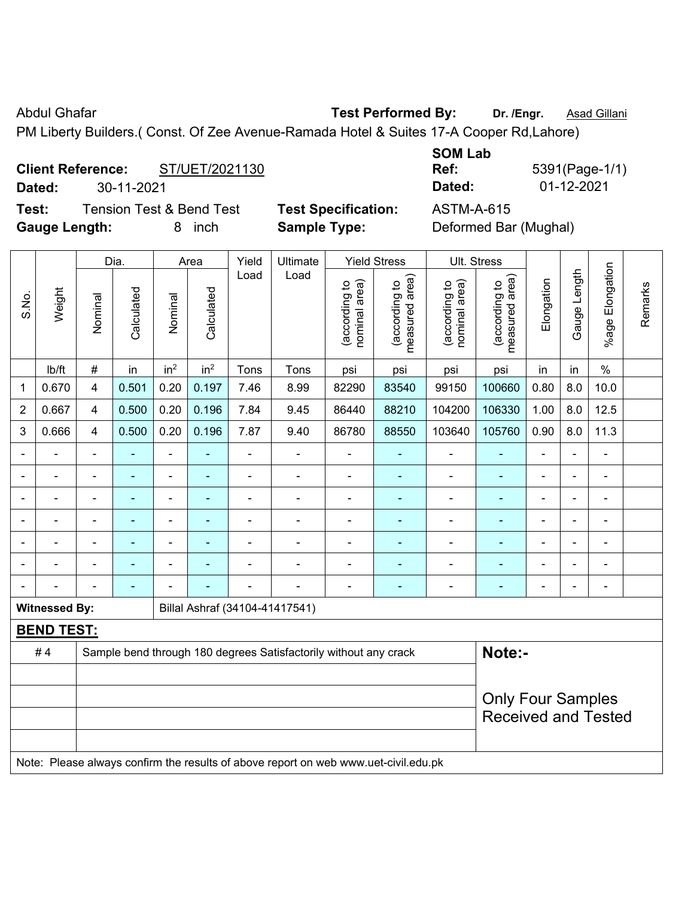Abdul Ghafar **Test Performed By:** Dr. /Engr. **Asad Gillani Abdul Ghafar** 

PM Liberty Builders.( Const. Of Zee Avenue-Ramada Hotel & Suites 17-A Cooper Rd,Lahore)

## **Client Reference:** ST/UET/2021130

**Dated:** 30-11-2021 **Dated:** 01-12-2021

**Test:** Tension Test & Bend Test **Test Specification:** ASTM-A-615 **Gauge Length:** 8 inch **Sample Type:** Deformed Bar (Mughal)

| <b>SOM Lab</b> |                |
|----------------|----------------|
| Ref:           | 5391(Page-1/1) |
| Dated:         | 01-12-2021     |

Dia. | Area | Yield | Ultimate | Yield Stress | Ult. Stress **Elongation** Gauge Length **Calculated** Load Load (according to nominal area) (according to measured area) (according to nominal area) (according to measured area)

|                |                      |                          | Dia.           |                 | Area                     | Yield          | Ultimate                                                                            |                                | Yield Stress                    |                               | UII. Stress                     |                |                |                 |         |
|----------------|----------------------|--------------------------|----------------|-----------------|--------------------------|----------------|-------------------------------------------------------------------------------------|--------------------------------|---------------------------------|-------------------------------|---------------------------------|----------------|----------------|-----------------|---------|
| S.No.          | Weight               | Nominal                  | Calculated     | Nominal         | Calculated               | Load           | Load                                                                                | (according to<br>nominal area) | measured area)<br>(according to | nominal area)<br>according to | measured area)<br>(according to | Elongation     | Gauge Length   | %age Elongation | Remarks |
|                | lb/ft                | $\#$                     | in             | in <sup>2</sup> | in <sup>2</sup>          | Tons           | Tons                                                                                | psi                            | psi                             | psi                           | psi                             | in             | in             | $\%$            |         |
| 1              | 0.670                | $\overline{4}$           | 0.501          | 0.20            | 0.197                    | 7.46           | 8.99                                                                                | 82290                          | 83540                           | 99150                         | 100660                          | 0.80           | 8.0            | 10.0            |         |
| $\overline{2}$ | 0.667                | $\overline{4}$           | 0.500          | 0.20            | 0.196                    | 7.84           | 9.45                                                                                | 86440                          | 88210                           | 104200                        | 106330                          | 1.00           | 8.0            | 12.5            |         |
| 3              | 0.666                | $\overline{4}$           | 0.500          | 0.20            | 0.196                    | 7.87           | 9.40                                                                                | 86780                          | 88550                           | 103640                        | 105760                          | 0.90           | 8.0            | 11.3            |         |
| $\blacksquare$ | ÷                    | $\blacksquare$           | $\blacksquare$ | $\blacksquare$  | $\blacksquare$           | ÷              | $\blacksquare$                                                                      | $\blacksquare$                 | ÷                               | $\blacksquare$                | $\blacksquare$                  | $\blacksquare$ | $\overline{a}$ | ÷,              |         |
|                | $\blacksquare$       | $\blacksquare$           | $\blacksquare$ | $\blacksquare$  | $\overline{\phantom{a}}$ | ä,             | ÷.                                                                                  | $\blacksquare$                 | ÷                               | $\blacksquare$                | $\blacksquare$                  | $\blacksquare$ | ÷,             | $\blacksquare$  |         |
|                |                      |                          | ÷,             | $\blacksquare$  | $\blacksquare$           | ä,             | ÷.                                                                                  | $\blacksquare$                 | $\blacksquare$                  | $\blacksquare$                | $\blacksquare$                  | ÷              | $\blacksquare$ | ä,              |         |
|                |                      |                          |                | ÷               |                          |                | $\overline{a}$                                                                      |                                |                                 | Ē,                            |                                 |                | $\blacksquare$ | $\blacksquare$  |         |
|                |                      |                          |                | $\blacksquare$  |                          | $\overline{a}$ | ÷                                                                                   |                                |                                 | Ē,                            | $\overline{\phantom{0}}$        | $\blacksquare$ | $\frac{1}{2}$  | $\blacksquare$  |         |
|                |                      | $\blacksquare$           | ÷              | $\blacksquare$  |                          | $\blacksquare$ | $\blacksquare$                                                                      | $\blacksquare$                 | $\overline{\phantom{a}}$        | $\overline{a}$                | $\blacksquare$                  | Ē,             | $\frac{1}{2}$  | $\blacksquare$  |         |
|                |                      | $\blacksquare$           | $\blacksquare$ | $\blacksquare$  |                          | ä,             | ÷.                                                                                  | $\blacksquare$                 | $\blacksquare$                  | ä,                            | $\blacksquare$                  | $\blacksquare$ | $\blacksquare$ | $\blacksquare$  |         |
|                | <b>Witnessed By:</b> |                          |                |                 |                          |                | Billal Ashraf (34104-41417541)                                                      |                                |                                 |                               |                                 |                |                |                 |         |
|                | <b>BEND TEST:</b>    |                          |                |                 |                          |                |                                                                                     |                                |                                 |                               |                                 |                |                |                 |         |
|                | #4                   |                          |                |                 |                          |                | Sample bend through 180 degrees Satisfactorily without any crack                    |                                |                                 |                               | Note:-                          |                |                |                 |         |
|                |                      |                          |                |                 |                          |                |                                                                                     |                                |                                 |                               |                                 |                |                |                 |         |
|                |                      | <b>Only Four Samples</b> |                |                 |                          |                |                                                                                     |                                |                                 |                               |                                 |                |                |                 |         |
|                |                      |                          |                |                 |                          |                |                                                                                     |                                |                                 |                               | <b>Received and Tested</b>      |                |                |                 |         |
|                |                      |                          |                |                 |                          |                |                                                                                     |                                |                                 |                               |                                 |                |                |                 |         |
|                |                      |                          |                |                 |                          |                | Note: Please always confirm the results of above report on web www.uet-civil.edu.pk |                                |                                 |                               |                                 |                |                |                 |         |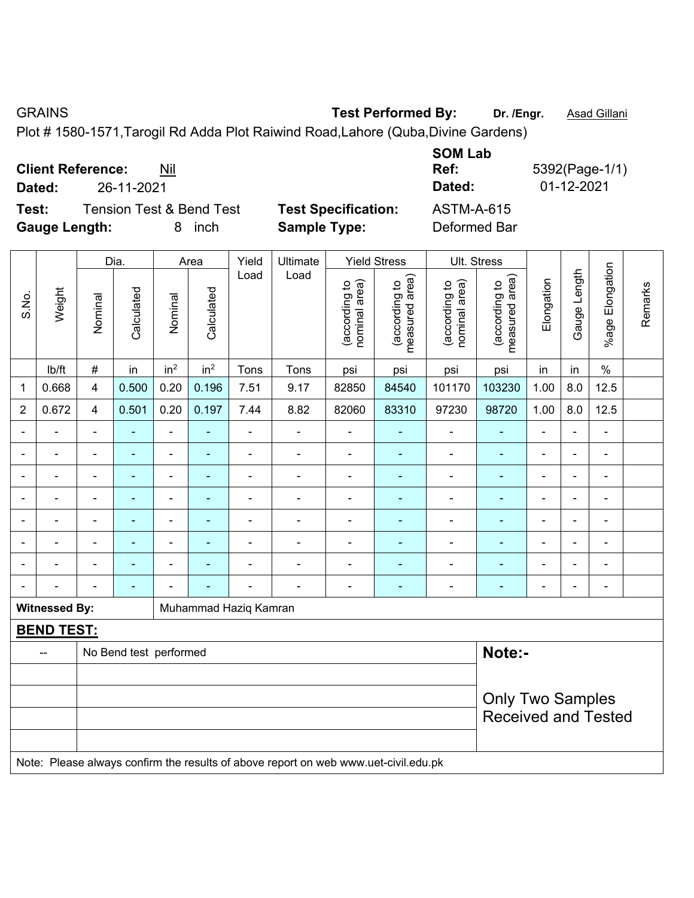GRAINS **Test Performed By:** Dr. /Engr. **Asad Gillani** 

Plot # 1580-1571,Tarogil Rd Adda Plot Raiwind Road,Lahore (Quba,Divine Gardens)

| <b>Client Reference:</b> |            | Nil                                 |                            | <b>SOM LAD</b><br>Ref: | 5392(Page-1/1) |
|--------------------------|------------|-------------------------------------|----------------------------|------------------------|----------------|
| Dated:                   | 26-11-2021 |                                     |                            | Dated:                 | 01-12-2021     |
| Test:                    |            | <b>Tension Test &amp; Bend Test</b> | <b>Test Specification:</b> | ASTM-A-615             |                |
| <b>Gauge Length:</b>     |            | inch<br>8.                          | <b>Sample Type:</b>        | Deformed Bar           |                |

|                |                      |                                                       | Dia.                   |                 | Area                     | Yield                 | Ultimate                                                                            |                                | <b>Yield Stress</b>                         |                                | Ult. Stress                     |                |                |                          |         |
|----------------|----------------------|-------------------------------------------------------|------------------------|-----------------|--------------------------|-----------------------|-------------------------------------------------------------------------------------|--------------------------------|---------------------------------------------|--------------------------------|---------------------------------|----------------|----------------|--------------------------|---------|
| S.No.          | Weight               | Nominal                                               | Calculated             | Nominal         | Calculated               | Load                  | Load                                                                                | nominal area)<br>(according to | (according to<br>neasured area)<br>measured | nominal area)<br>(according to | measured area)<br>(according to | Elongation     | Gauge Length   | %age Elongation          | Remarks |
|                | lb/ft                | $\#$                                                  | in                     | in <sup>2</sup> | in <sup>2</sup>          | Tons                  | Tons                                                                                | psi                            | psi                                         | psi                            | psi                             | in             | in             | $\%$                     |         |
| $\mathbf 1$    | 0.668                | 4                                                     | 0.500                  | 0.20            | 0.196                    | 7.51                  | 9.17                                                                                | 82850                          | 84540                                       | 101170                         | 103230                          | 1.00           | 8.0            | 12.5                     |         |
| $\overline{2}$ | 0.672                | 4                                                     | 0.501                  | 0.20            | 0.197                    | 7.44                  | 8.82                                                                                | 82060                          | 83310                                       | 97230                          | 98720                           | 1.00           | 8.0            | 12.5                     |         |
| $\blacksquare$ |                      | $\overline{\phantom{a}}$                              | $\blacksquare$         | ÷,              | $\overline{\phantom{a}}$ | $\blacksquare$        | $\blacksquare$                                                                      | $\blacksquare$                 | $\blacksquare$                              | $\blacksquare$                 | ٠                               | ä,             | $\blacksquare$ | $\blacksquare$           |         |
|                | $\blacksquare$       | $\blacksquare$                                        | $\blacksquare$         | $\blacksquare$  | $\blacksquare$           | ÷,                    | -                                                                                   | $\overline{\phantom{a}}$       | $\blacksquare$                              | $\blacksquare$                 | ٠                               | $\blacksquare$ | $\blacksquare$ | $\blacksquare$           |         |
|                |                      | $\blacksquare$                                        | ä,                     | $\blacksquare$  | $\blacksquare$           | L,                    | ÷.                                                                                  | ä,                             | $\blacksquare$                              | ä,                             | ä,                              | $\blacksquare$ |                | $\blacksquare$           |         |
|                |                      | -                                                     | $\blacksquare$         | $\blacksquare$  |                          |                       | $\blacksquare$                                                                      |                                | ٠                                           | $\blacksquare$                 | ÷                               |                |                | $\blacksquare$           |         |
|                |                      | Ē,                                                    |                        | $\blacksquare$  |                          |                       | ÷                                                                                   | Ē,                             |                                             | $\blacksquare$                 | Ē.                              | $\blacksquare$ | $\blacksquare$ |                          |         |
| $\blacksquare$ |                      | $\blacksquare$                                        | $\blacksquare$         | $\blacksquare$  | $\blacksquare$           | $\blacksquare$        | $\overline{a}$                                                                      | $\blacksquare$                 | ٠                                           | $\blacksquare$                 | $\overline{\phantom{0}}$        | $\blacksquare$ | $\blacksquare$ | $\overline{\phantom{0}}$ |         |
| $\blacksquare$ |                      | ä,                                                    | ۰                      | $\blacksquare$  | ÷                        | Ē,                    | $\overline{a}$                                                                      | $\blacksquare$                 | ٠                                           | $\blacksquare$                 | ۰                               | $\blacksquare$ | $\blacksquare$ | $\blacksquare$           |         |
| $\blacksquare$ |                      | $\blacksquare$                                        | $\blacksquare$         | ÷               |                          | ä,                    | $\overline{a}$                                                                      | $\blacksquare$                 | $\blacksquare$                              | $\overline{\phantom{a}}$       | $\blacksquare$                  | $\overline{a}$ | $\blacksquare$ | $\blacksquare$           |         |
|                | <b>Witnessed By:</b> |                                                       |                        |                 |                          | Muhammad Haziq Kamran |                                                                                     |                                |                                             |                                |                                 |                |                |                          |         |
|                | <b>BEND TEST:</b>    |                                                       |                        |                 |                          |                       |                                                                                     |                                |                                             |                                |                                 |                |                |                          |         |
|                |                      |                                                       | No Bend test performed |                 |                          |                       |                                                                                     |                                |                                             |                                | Note:-                          |                |                |                          |         |
|                |                      |                                                       |                        |                 |                          |                       |                                                                                     |                                |                                             |                                |                                 |                |                |                          |         |
|                |                      | <b>Only Two Samples</b><br><b>Received and Tested</b> |                        |                 |                          |                       |                                                                                     |                                |                                             |                                |                                 |                |                |                          |         |
|                |                      |                                                       |                        |                 |                          |                       | Note: Please always confirm the results of above report on web www.uet-civil.edu.pk |                                |                                             |                                |                                 |                |                |                          |         |

**SOM Lab**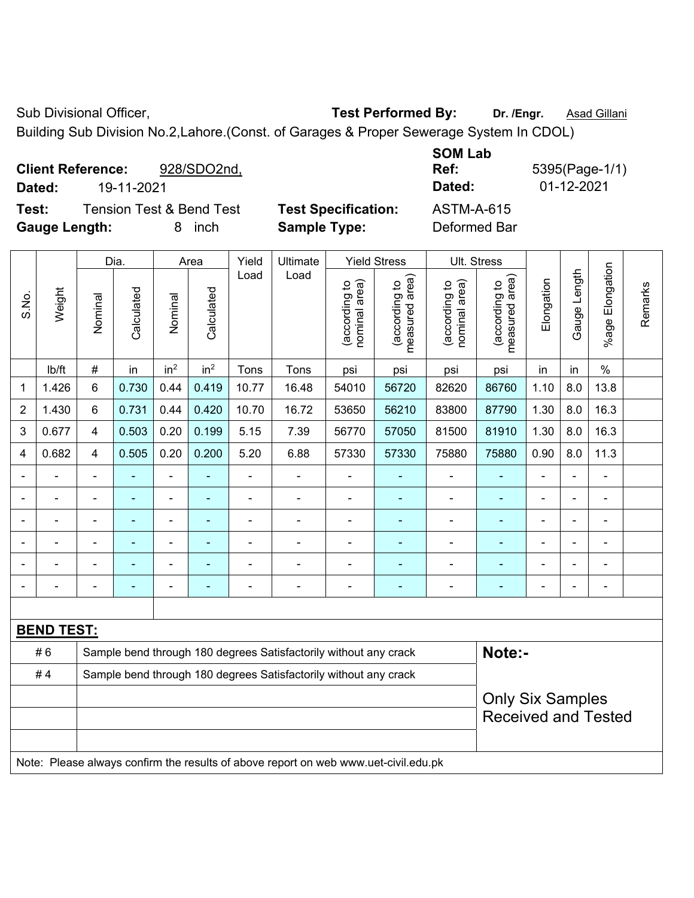Sub Divisional Officer, **Test Performed By:** Dr. /Engr. **Asad Gillani** 

Building Sub Division No.2,Lahore.(Const. of Garages & Proper Sewerage System In CDOL)

| <b>Client Reference:</b><br>928/SDO2nd,<br>19-11-2021<br>Dated: |                            | <b>SOM Lab</b><br>Ref:<br>Dated: | 5395(Page-1/1)<br>01-12-2021 |
|-----------------------------------------------------------------|----------------------------|----------------------------------|------------------------------|
| <b>Tension Test &amp; Bend Test</b><br>Test:                    | <b>Test Specification:</b> | ASTM-A-615                       |                              |
| <b>Gauge Length:</b><br>inch<br>8                               | <b>Sample Type:</b>        | Deformed Bar                     |                              |

|                |                   |                                                       | Dia.                                                             |                 | Area                     | Yield                    | Ultimate                                                                            |                                | <b>Yield Stress</b>             | Ult. Stress                    |                                 |                |              |                 |         |
|----------------|-------------------|-------------------------------------------------------|------------------------------------------------------------------|-----------------|--------------------------|--------------------------|-------------------------------------------------------------------------------------|--------------------------------|---------------------------------|--------------------------------|---------------------------------|----------------|--------------|-----------------|---------|
| S.No.          | Weight            | Nominal                                               | Calculated                                                       | Nominal         | Calculated               | Load                     | Load                                                                                | nominal area)<br>(according to | (according to<br>measured area) | nominal area)<br>(according to | (according to<br>measured area) | Elongation     | Gauge Length | %age Elongation | Remarks |
|                | lb/ft             | $\#$                                                  | in                                                               | in <sup>2</sup> | in <sup>2</sup>          | Tons                     | Tons                                                                                | psi                            | psi                             | psi                            | psi                             | in             | in           | $\frac{0}{0}$   |         |
| 1              | 1.426             | 6                                                     | 0.730                                                            | 0.44            | 0.419                    | 10.77                    | 16.48                                                                               | 54010                          | 56720                           | 82620                          | 86760                           | 1.10           | 8.0          | 13.8            |         |
| $\overline{2}$ | 1.430             | 6                                                     | 0.731                                                            | 0.44            | 0.420                    | 10.70                    | 16.72                                                                               | 53650                          | 56210                           | 83800                          | 87790                           | 1.30           | 8.0          | 16.3            |         |
| 3              | 0.677             | $\overline{4}$                                        | 0.503                                                            | 0.20            | 0.199                    | 5.15                     | 7.39                                                                                | 56770                          | 57050                           | 81500                          | 81910                           | 1.30           | 8.0          | 16.3            |         |
| 4              | 0.682             | $\overline{4}$                                        | 0.505                                                            | 0.20            | 0.200                    | 5.20                     | 6.88                                                                                | 57330                          | 57330                           | 75880                          | 75880                           | 0.90           | 8.0          | 11.3            |         |
|                |                   | $\blacksquare$                                        | ä,                                                               | ä,              |                          | $\blacksquare$           | $\blacksquare$                                                                      |                                |                                 | $\blacksquare$                 | $\blacksquare$                  | $\blacksquare$ | Ē,           | ä,              |         |
|                |                   |                                                       | $\blacksquare$                                                   |                 |                          | L,                       | ÷                                                                                   | ä,                             |                                 |                                | ä,                              |                |              | ä,              |         |
|                |                   | $\blacksquare$                                        |                                                                  |                 |                          |                          | $\blacksquare$                                                                      | $\blacksquare$                 |                                 | $\blacksquare$                 |                                 |                |              | L.              |         |
|                |                   | $\blacksquare$                                        |                                                                  |                 |                          |                          |                                                                                     | $\blacksquare$                 |                                 |                                |                                 |                |              | $\blacksquare$  |         |
| $\blacksquare$ |                   | ä,                                                    |                                                                  |                 |                          |                          |                                                                                     | $\blacksquare$                 |                                 |                                |                                 | $\blacksquare$ |              | ÷               |         |
| $\blacksquare$ |                   | $\blacksquare$                                        | $\blacksquare$                                                   | $\blacksquare$  | $\overline{\phantom{a}}$ | $\overline{\phantom{a}}$ | $\blacksquare$                                                                      | $\blacksquare$                 | $\blacksquare$                  | $\blacksquare$                 | $\blacksquare$                  | $\blacksquare$ | ÷            | $\blacksquare$  |         |
|                |                   |                                                       |                                                                  |                 |                          |                          |                                                                                     |                                |                                 |                                |                                 |                |              |                 |         |
|                | <b>BEND TEST:</b> |                                                       |                                                                  |                 |                          |                          |                                                                                     |                                |                                 |                                |                                 |                |              |                 |         |
|                | #6                |                                                       |                                                                  |                 |                          |                          | Sample bend through 180 degrees Satisfactorily without any crack                    |                                |                                 |                                | Note:-                          |                |              |                 |         |
|                | #4                |                                                       | Sample bend through 180 degrees Satisfactorily without any crack |                 |                          |                          |                                                                                     |                                |                                 |                                |                                 |                |              |                 |         |
|                |                   | <b>Only Six Samples</b><br><b>Received and Tested</b> |                                                                  |                 |                          |                          |                                                                                     |                                |                                 |                                |                                 |                |              |                 |         |
|                |                   |                                                       |                                                                  |                 |                          |                          | Note: Please always confirm the results of above report on web www.uet-civil.edu.pk |                                |                                 |                                |                                 |                |              |                 |         |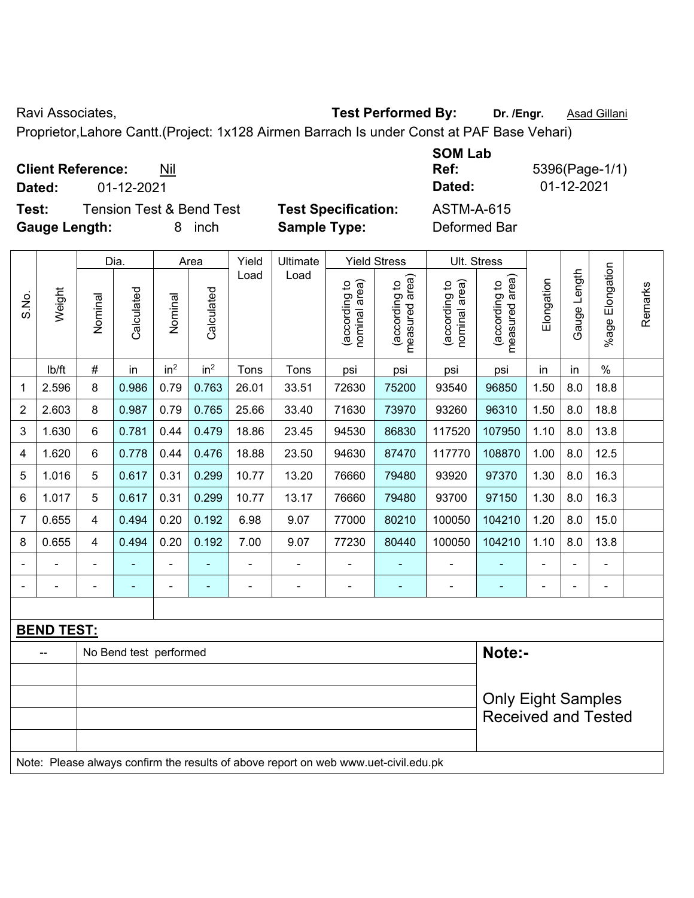Ravi Associates, **Test Performed By:** Dr. /Engr. **Asad Gillani** Care and Contract Development Care and Associates,

Proprietor,Lahore Cantt.(Project: 1x128 Airmen Barrach Is under Const at PAF Base Vehari)

| <b>Client Reference:</b><br>Nil |
|---------------------------------|
|---------------------------------|

**Test:** Tension Test & Bend Test **Test Specification:** ASTM-A-615 **Gauge Length:** 8 inch **Sample Type:** Deformed Bar

**SOM Lab Ref:** 5396(Page-1/1) **Dated:** 01-12-2021 **Dated:** 01-12-2021

|       |                   |                         | Dia.                   |                 | Area            | Yield | Ultimate                                                                            |                                | <b>Yield Stress</b>             | Ult. Stress                    |                                             |            |              |                       |         |
|-------|-------------------|-------------------------|------------------------|-----------------|-----------------|-------|-------------------------------------------------------------------------------------|--------------------------------|---------------------------------|--------------------------------|---------------------------------------------|------------|--------------|-----------------------|---------|
| S.No. | Weight            | Nominal                 | Calculated             | Nominal         | Calculated      | Load  | Load                                                                                | nominal area)<br>(according to | measured area)<br>(according to | nominal area)<br>(according to | (according to<br>neasured area)<br>measured | Elongation | Gauge Length | Elongation<br>$%$ age | Remarks |
|       | lb/ft             | $\#$                    | in                     | in <sup>2</sup> | in <sup>2</sup> | Tons  | Tons                                                                                | psi                            | psi                             | psi                            | psi                                         | in         | in           | $\%$                  |         |
| 1     | 2.596             | 8                       | 0.986                  | 0.79            | 0.763           | 26.01 | 33.51                                                                               | 72630                          | 75200                           | 93540                          | 96850                                       | 1.50       | 8.0          | 18.8                  |         |
| 2     | 2.603             | 8                       | 0.987                  | 0.79            | 0.765           | 25.66 | 33.40                                                                               | 71630                          | 73970                           | 93260                          | 96310                                       | 1.50       | 8.0          | 18.8                  |         |
| 3     | 1.630             | 6                       | 0.781                  | 0.44            | 0.479           | 18.86 | 23.45                                                                               | 94530                          | 86830                           | 117520                         | 107950                                      | 1.10       | 8.0          | 13.8                  |         |
| 4     | 1.620             | 6                       | 0.778                  | 0.44            | 0.476           | 18.88 | 23.50                                                                               | 94630                          | 87470                           | 117770                         | 108870                                      | 1.00       | 8.0          | 12.5                  |         |
| 5     | 1.016             | 5                       | 0.617                  | 0.31            | 0.299           | 10.77 | 13.20                                                                               | 76660                          | 79480                           | 93920                          | 97370                                       | 1.30       | 8.0          | 16.3                  |         |
| 6     | 1.017             | 5                       | 0.617                  | 0.31            | 0.299           | 10.77 | 13.17                                                                               | 76660                          | 79480                           | 93700                          | 97150                                       | 1.30       | 8.0          | 16.3                  |         |
| 7     | 0.655             | $\overline{\mathbf{4}}$ | 0.494                  | 0.20            | 0.192           | 6.98  | 9.07                                                                                | 77000                          | 80210                           | 100050                         | 104210                                      | 1.20       | 8.0          | 15.0                  |         |
| 8     | 0.655             | 4                       | 0.494                  | 0.20            | 0.192           | 7.00  | 9.07                                                                                | 77230                          | 80440                           | 100050                         | 104210                                      | 1.10       | 8.0          | 13.8                  |         |
|       |                   |                         |                        | ÷               |                 |       | $\blacksquare$                                                                      |                                |                                 |                                |                                             |            |              |                       |         |
|       |                   |                         |                        | ۰               |                 |       | $\blacksquare$                                                                      | $\blacksquare$                 |                                 |                                |                                             |            |              | $\blacksquare$        |         |
|       |                   |                         |                        |                 |                 |       |                                                                                     |                                |                                 |                                |                                             |            |              |                       |         |
|       | <b>BEND TEST:</b> |                         |                        |                 |                 |       |                                                                                     |                                |                                 |                                |                                             |            |              |                       |         |
|       |                   |                         | No Bend test performed |                 |                 |       |                                                                                     |                                |                                 |                                | Note:-                                      |            |              |                       |         |
|       |                   |                         |                        |                 |                 |       |                                                                                     |                                |                                 |                                |                                             |            |              |                       |         |
|       |                   |                         |                        |                 |                 |       |                                                                                     |                                |                                 |                                | <b>Only Eight Samples</b>                   |            |              |                       |         |
|       |                   |                         |                        |                 |                 |       |                                                                                     |                                |                                 |                                | <b>Received and Tested</b>                  |            |              |                       |         |
|       |                   |                         |                        |                 |                 |       |                                                                                     |                                |                                 |                                |                                             |            |              |                       |         |
|       |                   |                         |                        |                 |                 |       | Note: Please always confirm the results of above report on web www.uet-civil.edu.pk |                                |                                 |                                |                                             |            |              |                       |         |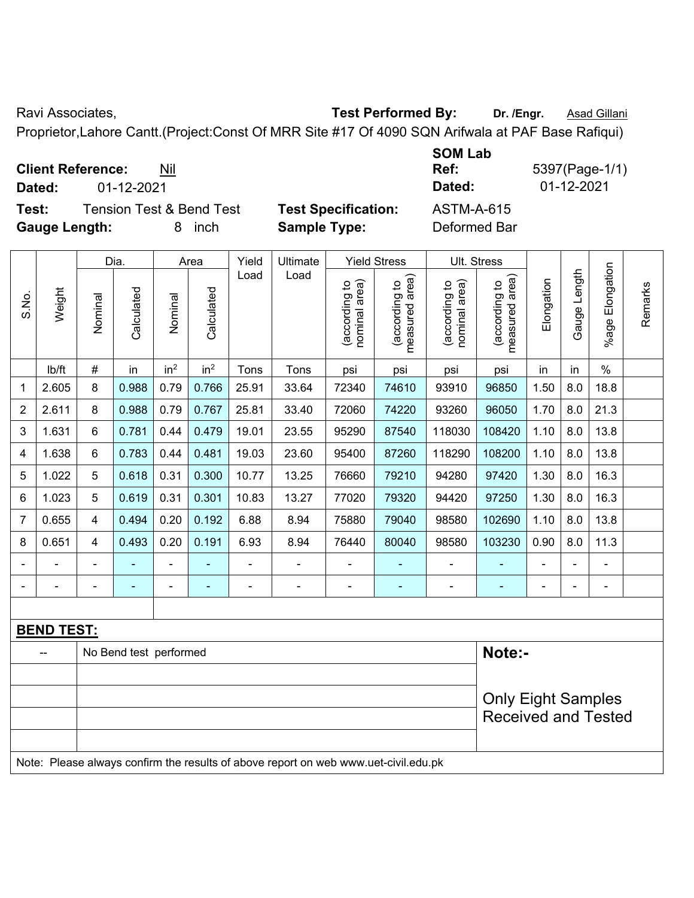Ravi Associates, **Test Performed By:** Dr. /Engr. **Asad Gillani** Care and Contract Contract Contract Contract Contract Contract Contract Contract Contract Contract Contract Contract Contract Contract Contract Contract Contr

Proprietor,Lahore Cantt.(Project:Const Of MRR Site #17 Of 4090 SQN Arifwala at PAF Base Rafiqui)

| <b>Client Reference:</b> | Nil |
|--------------------------|-----|
|--------------------------|-----|

**Test:** Tension Test & Bend Test **Test Specification:** ASTM-A-615 **Gauge Length:** 8 inch **Sample Type:** Deformed Bar

**SOM Lab Ref:** 5397(Page-1/1) **Dated:** 01-12-2021 **Dated:** 01-12-2021

| S.No.          | Weight                                                                              | Dia.                             |                                                        | Area            |                                | Yield                           | Ultimate<br>Load | <b>Yield Stress</b>            |                                 | Ult. Stress                |              |                       |         |                |  |
|----------------|-------------------------------------------------------------------------------------|----------------------------------|--------------------------------------------------------|-----------------|--------------------------------|---------------------------------|------------------|--------------------------------|---------------------------------|----------------------------|--------------|-----------------------|---------|----------------|--|
|                |                                                                                     |                                  | Load<br>Calculated<br>Calculated<br>Nominal<br>Nominal |                 | nominal area)<br>(according to | measured area)<br>(according to |                  | (according to<br>nominal area) | measured area)<br>(according to | Elongation                 | Gauge Length | Elongation<br>$%$ age | Remarks |                |  |
|                | lb/ft                                                                               | $\#$                             | in                                                     | in <sup>2</sup> | in <sup>2</sup>                | Tons                            | Tons             | psi                            | psi                             | psi                        | psi          | in                    | in      | $\%$           |  |
| 1              | 2.605                                                                               | 8                                | 0.988                                                  | 0.79            | 0.766                          | 25.91                           | 33.64            | 72340                          | 74610                           | 93910                      | 96850        | 1.50                  | 8.0     | 18.8           |  |
| $\overline{2}$ | 2.611                                                                               | 8                                | 0.988                                                  | 0.79            | 0.767                          | 25.81                           | 33.40            | 72060                          | 74220                           | 93260                      | 96050        | 1.70                  | 8.0     | 21.3           |  |
| 3              | 1.631                                                                               | 6                                | 0.781                                                  | 0.44            | 0.479                          | 19.01                           | 23.55            | 95290                          | 87540                           | 118030                     | 108420       | 1.10                  | 8.0     | 13.8           |  |
| 4              | 1.638                                                                               | 6                                | 0.783                                                  | 0.44            | 0.481                          | 19.03                           | 23.60            | 95400                          | 87260                           | 118290                     | 108200       | 1.10                  | 8.0     | 13.8           |  |
| 5              | 1.022                                                                               | 5                                | 0.618                                                  | 0.31            | 0.300                          | 10.77                           | 13.25            | 76660                          | 79210                           | 94280                      | 97420        | 1.30                  | 8.0     | 16.3           |  |
| 6              | 1.023                                                                               | 5                                | 0.619                                                  | 0.31            | 0.301                          | 10.83                           | 13.27            | 77020                          | 79320                           | 94420                      | 97250        | 1.30                  | 8.0     | 16.3           |  |
| 7              | 0.655                                                                               | 4                                | 0.494                                                  | 0.20            | 0.192                          | 6.88                            | 8.94             | 75880                          | 79040                           | 98580                      | 102690       | 1.10                  | 8.0     | 13.8           |  |
| 8              | 0.651                                                                               | $\overline{\mathbf{4}}$          | 0.493                                                  | 0.20            | 0.191                          | 6.93                            | 8.94             | 76440                          | 80040                           | 98580                      | 103230       | 0.90                  | 8.0     | 11.3           |  |
|                |                                                                                     |                                  |                                                        |                 |                                |                                 | $\blacksquare$   |                                |                                 |                            |              |                       |         |                |  |
|                |                                                                                     |                                  |                                                        | ÷               | $\blacksquare$                 |                                 | $\blacksquare$   | $\blacksquare$                 |                                 |                            |              | Ē,                    |         | $\blacksquare$ |  |
|                |                                                                                     |                                  |                                                        |                 |                                |                                 |                  |                                |                                 |                            |              |                       |         |                |  |
|                | <b>BEND TEST:</b>                                                                   |                                  |                                                        |                 |                                |                                 |                  |                                |                                 |                            |              |                       |         |                |  |
|                |                                                                                     | Note:-<br>No Bend test performed |                                                        |                 |                                |                                 |                  |                                |                                 |                            |              |                       |         |                |  |
|                |                                                                                     |                                  |                                                        |                 |                                |                                 |                  |                                |                                 |                            |              |                       |         |                |  |
|                |                                                                                     | <b>Only Eight Samples</b>        |                                                        |                 |                                |                                 |                  |                                |                                 |                            |              |                       |         |                |  |
|                |                                                                                     |                                  |                                                        |                 |                                |                                 |                  |                                |                                 | <b>Received and Tested</b> |              |                       |         |                |  |
|                |                                                                                     |                                  |                                                        |                 |                                |                                 |                  |                                |                                 |                            |              |                       |         |                |  |
|                | Note: Please always confirm the results of above report on web www.uet-civil.edu.pk |                                  |                                                        |                 |                                |                                 |                  |                                |                                 |                            |              |                       |         |                |  |